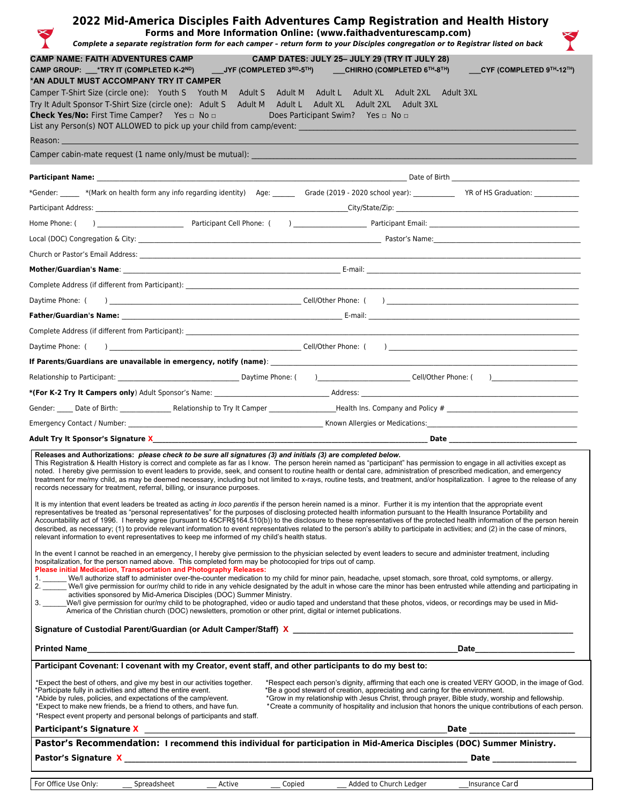|                     |                                                                                                                                                                                                                                                                                                                                                                                                                                                                                                                                                                                                                                                                                                                                                                                                                            |                                                                                                                                                                                                                                                                                                                                                                             |        | 2022 Mid-America Disciples Faith Adventures Camp Registration and Health History<br>Forms and More Information Online: (www.faithadventurescamp.com)<br>Complete a separate registration form for each camper - return form to your Disciples congregation or to Registrar listed on back                                                                                                                                                                                              |                                                                                                                                                                                                                                                                                                                                                                                                                                                                                                                                          |  |  |  |
|---------------------|----------------------------------------------------------------------------------------------------------------------------------------------------------------------------------------------------------------------------------------------------------------------------------------------------------------------------------------------------------------------------------------------------------------------------------------------------------------------------------------------------------------------------------------------------------------------------------------------------------------------------------------------------------------------------------------------------------------------------------------------------------------------------------------------------------------------------|-----------------------------------------------------------------------------------------------------------------------------------------------------------------------------------------------------------------------------------------------------------------------------------------------------------------------------------------------------------------------------|--------|----------------------------------------------------------------------------------------------------------------------------------------------------------------------------------------------------------------------------------------------------------------------------------------------------------------------------------------------------------------------------------------------------------------------------------------------------------------------------------------|------------------------------------------------------------------------------------------------------------------------------------------------------------------------------------------------------------------------------------------------------------------------------------------------------------------------------------------------------------------------------------------------------------------------------------------------------------------------------------------------------------------------------------------|--|--|--|
|                     | <b>CAMP NAME: FAITH ADVENTURES CAMP</b><br>*AN ADULT MUST ACCOMPANY TRY IT CAMPER<br>Check Yes/No: First Time Camper? Yes a No a                                                                                                                                                                                                                                                                                                                                                                                                                                                                                                                                                                                                                                                                                           | <u>ann</u><br>List any Person(s) NOT ALLOWED to pick up your child from camp/event: __________                                                                                                                                                                                                                                                                              |        | CAMP DATES: JULY 25- JULY 29 (TRY IT JULY 28)<br>CAMP GROUP: __*TRY IT (COMPLETED K-2 <sup>ND</sup> ) ____JYF (COMPLETED 3 <sup>RD</sup> -5 <sup>TH</sup> ) ____CHIRHO (COMPLETED 6 <sup>TH</sup> -8 <sup>TH</sup> )<br>Camper T-Shirt Size (circle one): Youth S Youth M Adult S Adult M Adult L Adult XL Adult 2XL Adult 3XL<br>Try It Adult Sponsor T-Shirt Size (circle one): Adult S Adult M Adult L Adult XL Adult 2XL Adult 3XL<br>Does Participant Swim? Yes <sup>D</sup> No D | CYF (COMPLETED 9TH-12TH)                                                                                                                                                                                                                                                                                                                                                                                                                                                                                                                 |  |  |  |
|                     | Reason: The Company of the Company of the Company of the Company of the Company of the Company of the Company of the Company of the Company of the Company of the Company of the Company of the Company of the Company of the                                                                                                                                                                                                                                                                                                                                                                                                                                                                                                                                                                                              |                                                                                                                                                                                                                                                                                                                                                                             |        |                                                                                                                                                                                                                                                                                                                                                                                                                                                                                        |                                                                                                                                                                                                                                                                                                                                                                                                                                                                                                                                          |  |  |  |
|                     |                                                                                                                                                                                                                                                                                                                                                                                                                                                                                                                                                                                                                                                                                                                                                                                                                            |                                                                                                                                                                                                                                                                                                                                                                             |        |                                                                                                                                                                                                                                                                                                                                                                                                                                                                                        |                                                                                                                                                                                                                                                                                                                                                                                                                                                                                                                                          |  |  |  |
|                     |                                                                                                                                                                                                                                                                                                                                                                                                                                                                                                                                                                                                                                                                                                                                                                                                                            |                                                                                                                                                                                                                                                                                                                                                                             |        |                                                                                                                                                                                                                                                                                                                                                                                                                                                                                        |                                                                                                                                                                                                                                                                                                                                                                                                                                                                                                                                          |  |  |  |
|                     |                                                                                                                                                                                                                                                                                                                                                                                                                                                                                                                                                                                                                                                                                                                                                                                                                            |                                                                                                                                                                                                                                                                                                                                                                             |        |                                                                                                                                                                                                                                                                                                                                                                                                                                                                                        | *Gender: ______ *(Mark on health form any info regarding identity) Age: ______ Grade (2019 - 2020 school year): __________ YR of HS Graduation: ____________                                                                                                                                                                                                                                                                                                                                                                             |  |  |  |
|                     |                                                                                                                                                                                                                                                                                                                                                                                                                                                                                                                                                                                                                                                                                                                                                                                                                            |                                                                                                                                                                                                                                                                                                                                                                             |        |                                                                                                                                                                                                                                                                                                                                                                                                                                                                                        |                                                                                                                                                                                                                                                                                                                                                                                                                                                                                                                                          |  |  |  |
|                     |                                                                                                                                                                                                                                                                                                                                                                                                                                                                                                                                                                                                                                                                                                                                                                                                                            |                                                                                                                                                                                                                                                                                                                                                                             |        |                                                                                                                                                                                                                                                                                                                                                                                                                                                                                        |                                                                                                                                                                                                                                                                                                                                                                                                                                                                                                                                          |  |  |  |
|                     |                                                                                                                                                                                                                                                                                                                                                                                                                                                                                                                                                                                                                                                                                                                                                                                                                            |                                                                                                                                                                                                                                                                                                                                                                             |        |                                                                                                                                                                                                                                                                                                                                                                                                                                                                                        |                                                                                                                                                                                                                                                                                                                                                                                                                                                                                                                                          |  |  |  |
|                     |                                                                                                                                                                                                                                                                                                                                                                                                                                                                                                                                                                                                                                                                                                                                                                                                                            | Church or Pastor's Email Address: North and the state of the state of the state of the state of the state of the state of the state of the state of the state of the state of the state of the state of the state of the state                                                                                                                                              |        |                                                                                                                                                                                                                                                                                                                                                                                                                                                                                        |                                                                                                                                                                                                                                                                                                                                                                                                                                                                                                                                          |  |  |  |
|                     |                                                                                                                                                                                                                                                                                                                                                                                                                                                                                                                                                                                                                                                                                                                                                                                                                            |                                                                                                                                                                                                                                                                                                                                                                             |        |                                                                                                                                                                                                                                                                                                                                                                                                                                                                                        |                                                                                                                                                                                                                                                                                                                                                                                                                                                                                                                                          |  |  |  |
|                     |                                                                                                                                                                                                                                                                                                                                                                                                                                                                                                                                                                                                                                                                                                                                                                                                                            | Complete Address (if different from Participant): Name of the Same of the Same of the Same of the Same of the S                                                                                                                                                                                                                                                             |        |                                                                                                                                                                                                                                                                                                                                                                                                                                                                                        |                                                                                                                                                                                                                                                                                                                                                                                                                                                                                                                                          |  |  |  |
| Daytime Phone: (    |                                                                                                                                                                                                                                                                                                                                                                                                                                                                                                                                                                                                                                                                                                                                                                                                                            |                                                                                                                                                                                                                                                                                                                                                                             |        |                                                                                                                                                                                                                                                                                                                                                                                                                                                                                        |                                                                                                                                                                                                                                                                                                                                                                                                                                                                                                                                          |  |  |  |
|                     |                                                                                                                                                                                                                                                                                                                                                                                                                                                                                                                                                                                                                                                                                                                                                                                                                            |                                                                                                                                                                                                                                                                                                                                                                             |        |                                                                                                                                                                                                                                                                                                                                                                                                                                                                                        |                                                                                                                                                                                                                                                                                                                                                                                                                                                                                                                                          |  |  |  |
|                     |                                                                                                                                                                                                                                                                                                                                                                                                                                                                                                                                                                                                                                                                                                                                                                                                                            |                                                                                                                                                                                                                                                                                                                                                                             |        |                                                                                                                                                                                                                                                                                                                                                                                                                                                                                        | $\begin{tabular}{c} \hline \textbf{Cell/Other Phone:} & \textbf{O} & \textbf{O} & \textbf{O} & \textbf{O} & \textbf{O} & \textbf{O} & \textbf{O} & \textbf{O} & \textbf{O} & \textbf{O} & \textbf{O} & \textbf{O} & \textbf{O} & \textbf{O} & \textbf{O} & \textbf{O} & \textbf{O} & \textbf{O} & \textbf{O} & \textbf{O} & \textbf{O} & \textbf{O} & \textbf{O} & \textbf{O} & \textbf{O} & \textbf{O} & \textbf{O} & \textbf{O} & \text$                                                                                               |  |  |  |
| Daytime Phone: (    |                                                                                                                                                                                                                                                                                                                                                                                                                                                                                                                                                                                                                                                                                                                                                                                                                            |                                                                                                                                                                                                                                                                                                                                                                             |        |                                                                                                                                                                                                                                                                                                                                                                                                                                                                                        |                                                                                                                                                                                                                                                                                                                                                                                                                                                                                                                                          |  |  |  |
|                     |                                                                                                                                                                                                                                                                                                                                                                                                                                                                                                                                                                                                                                                                                                                                                                                                                            |                                                                                                                                                                                                                                                                                                                                                                             |        |                                                                                                                                                                                                                                                                                                                                                                                                                                                                                        |                                                                                                                                                                                                                                                                                                                                                                                                                                                                                                                                          |  |  |  |
|                     |                                                                                                                                                                                                                                                                                                                                                                                                                                                                                                                                                                                                                                                                                                                                                                                                                            |                                                                                                                                                                                                                                                                                                                                                                             |        |                                                                                                                                                                                                                                                                                                                                                                                                                                                                                        |                                                                                                                                                                                                                                                                                                                                                                                                                                                                                                                                          |  |  |  |
|                     |                                                                                                                                                                                                                                                                                                                                                                                                                                                                                                                                                                                                                                                                                                                                                                                                                            |                                                                                                                                                                                                                                                                                                                                                                             |        |                                                                                                                                                                                                                                                                                                                                                                                                                                                                                        |                                                                                                                                                                                                                                                                                                                                                                                                                                                                                                                                          |  |  |  |
|                     |                                                                                                                                                                                                                                                                                                                                                                                                                                                                                                                                                                                                                                                                                                                                                                                                                            |                                                                                                                                                                                                                                                                                                                                                                             |        |                                                                                                                                                                                                                                                                                                                                                                                                                                                                                        |                                                                                                                                                                                                                                                                                                                                                                                                                                                                                                                                          |  |  |  |
|                     | Adult Try It Sponsor's Signature X________________                                                                                                                                                                                                                                                                                                                                                                                                                                                                                                                                                                                                                                                                                                                                                                         |                                                                                                                                                                                                                                                                                                                                                                             |        |                                                                                                                                                                                                                                                                                                                                                                                                                                                                                        | Date and the contract of the contract of the contract of the contract of the contract of the contract of the contract of the contract of the contract of the contract of the contract of the contract of the contract of the c                                                                                                                                                                                                                                                                                                           |  |  |  |
|                     |                                                                                                                                                                                                                                                                                                                                                                                                                                                                                                                                                                                                                                                                                                                                                                                                                            | Releases and Authorizations: please check to be sure all signatures (3) and initials (3) are completed below.<br>records necessary for treatment, referral, billing, or insurance purposes.                                                                                                                                                                                 |        |                                                                                                                                                                                                                                                                                                                                                                                                                                                                                        | This Registration & Health History is correct and complete as far as I know. The person herein named as "participant" has permission to engage in all activities except as<br>noted. I hereby give permission to event leaders to provide, seek, and consent to routine health or dental care, administration of prescribed medication, and emergency<br>treatment for me/my child, as may be deemed necessary, including but not limited to x-rays, routine tests, and treatment, and/or hospitalization. I agree to the release of any |  |  |  |
|                     | It is my intention that event leaders be treated as acting in loco parentis if the person herein named is a minor. Further it is my intention that the appropriate event<br>representatives be treated as "personal representatives" for the purposes of disclosing protected health information pursuant to the Health Insurance Portability and<br>Accountability act of 1996. I hereby agree (pursuant to 45CFR§164.510(b)) to the disclosure to these representatives of the protected health information of the person herein<br>described, as necessary; (1) to provide relevant information to event representatives related to the person's ability to participate in activities; and (2) in the case of minors,<br>relevant information to event representatives to keep me informed of my child's health status. |                                                                                                                                                                                                                                                                                                                                                                             |        |                                                                                                                                                                                                                                                                                                                                                                                                                                                                                        |                                                                                                                                                                                                                                                                                                                                                                                                                                                                                                                                          |  |  |  |
|                     |                                                                                                                                                                                                                                                                                                                                                                                                                                                                                                                                                                                                                                                                                                                                                                                                                            | hospitalization, for the person named above. This completed form may be photocopied for trips out of camp.<br>Please initial Medication, Transportation and Photography Releases:<br>activities sponsored by Mid-America Disciples (DOC) Summer Ministry.<br>America of the Christian church (DOC) newsletters, promotion or other print, digital or internet publications. |        | In the event I cannot be reached in an emergency, I hereby give permission to the physician selected by event leaders to secure and administer treatment, including<br>1. _____ We/l authorize staff to administer over-the-counter medication to my child for minor pain, headache, upset stomach, sore throat, cold symptoms, or allergy.                                                                                                                                            | We/I give permission for our/my child to ride in any vehicle designated by the adult in whose care the minor has been entrusted while attending and participating in<br>3. _____We/l give permission for our/my child to be photographed, video or audio taped and understand that these photos, videos, or recordings may be used in Mid-                                                                                                                                                                                               |  |  |  |
|                     |                                                                                                                                                                                                                                                                                                                                                                                                                                                                                                                                                                                                                                                                                                                                                                                                                            |                                                                                                                                                                                                                                                                                                                                                                             |        |                                                                                                                                                                                                                                                                                                                                                                                                                                                                                        |                                                                                                                                                                                                                                                                                                                                                                                                                                                                                                                                          |  |  |  |
| <b>Printed Name</b> |                                                                                                                                                                                                                                                                                                                                                                                                                                                                                                                                                                                                                                                                                                                                                                                                                            |                                                                                                                                                                                                                                                                                                                                                                             |        |                                                                                                                                                                                                                                                                                                                                                                                                                                                                                        | <b>Date</b>                                                                                                                                                                                                                                                                                                                                                                                                                                                                                                                              |  |  |  |
|                     |                                                                                                                                                                                                                                                                                                                                                                                                                                                                                                                                                                                                                                                                                                                                                                                                                            | Participant Covenant: I covenant with my Creator, event staff, and other participants to do my best to:                                                                                                                                                                                                                                                                     |        |                                                                                                                                                                                                                                                                                                                                                                                                                                                                                        |                                                                                                                                                                                                                                                                                                                                                                                                                                                                                                                                          |  |  |  |
|                     | *Participate fully in activities and attend the entire event.<br>*Abide by rules, policies, and expectations of the camp/event.<br>*Expect to make new friends, be a friend to others, and have fun.                                                                                                                                                                                                                                                                                                                                                                                                                                                                                                                                                                                                                       | *Expect the best of others, and give my best in our activities together.<br>*Respect event property and personal belongs of participants and staff.                                                                                                                                                                                                                         |        | *Be a good steward of creation, appreciating and caring for the environment.                                                                                                                                                                                                                                                                                                                                                                                                           | *Respect each person's dignity, affirming that each one is created VERY GOOD, in the image of God.<br>*Grow in my relationship with Jesus Christ, through prayer, Bible study, worship and fellowship.<br>*Create a community of hospitality and inclusion that honors the unique contributions of each person.                                                                                                                                                                                                                          |  |  |  |
|                     | Participant's Signature X                                                                                                                                                                                                                                                                                                                                                                                                                                                                                                                                                                                                                                                                                                                                                                                                  |                                                                                                                                                                                                                                                                                                                                                                             |        |                                                                                                                                                                                                                                                                                                                                                                                                                                                                                        | Date<br>Pastor's Recommendation: I recommend this individual for participation in Mid-America Disciples (DOC) Summer Ministry.                                                                                                                                                                                                                                                                                                                                                                                                           |  |  |  |
|                     |                                                                                                                                                                                                                                                                                                                                                                                                                                                                                                                                                                                                                                                                                                                                                                                                                            |                                                                                                                                                                                                                                                                                                                                                                             |        |                                                                                                                                                                                                                                                                                                                                                                                                                                                                                        | Date ___________________                                                                                                                                                                                                                                                                                                                                                                                                                                                                                                                 |  |  |  |
|                     | For Office Use Only:<br>Spreadsheet                                                                                                                                                                                                                                                                                                                                                                                                                                                                                                                                                                                                                                                                                                                                                                                        | Active                                                                                                                                                                                                                                                                                                                                                                      | Copied | Added to Church Ledger Insurance Card                                                                                                                                                                                                                                                                                                                                                                                                                                                  |                                                                                                                                                                                                                                                                                                                                                                                                                                                                                                                                          |  |  |  |